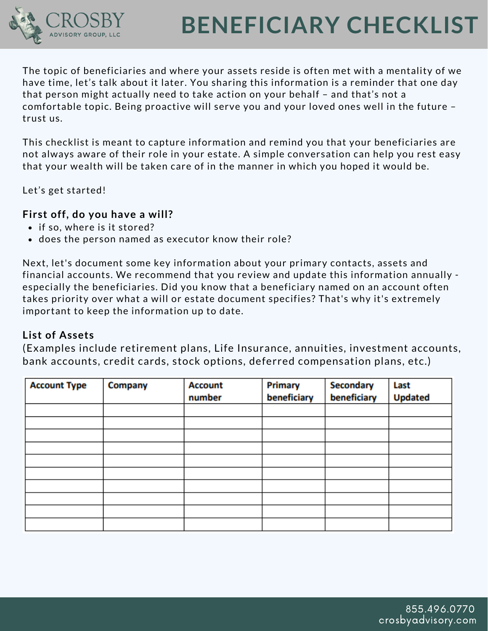

# **BENEFICIARY CHECKLIST**

The topic of beneficiaries and where your assets reside is often met with a mentality of we have time, let's talk about it later. You sharing this information is a reminder that one day that person might actually need to take action on your behalf – and that's not a comfortable topic. Being proactive will serve you and your loved ones well in the future – trust us.

This checklist is meant to capture information and remind you that your beneficiaries are not always aware of their role in your estate. A simple conversation can help you rest easy that your wealth will be taken care of in the manner in which you hoped it would be.

Let's get started!

## **First off, do you have a will?**

- if so, where is it stored?
- does the person named as executor know their role?

Next, let's document some key information about your primary contacts, assets and financial accounts. We recommend that you review and update this information annually especially the beneficiaries. Did you know that a beneficiary named on an account often takes priority over what a will or estate document specifies? That's why it's extremely important to keep the information up to date.

## **List of Assets**

(Examples include retirement plans, Life Insurance, annuities, investment accounts, bank accounts, credit cards, stock options, deferred compensation plans, etc.)

| <b>Account Type</b> | Company | <b>Account</b><br>number | <b>Primary</b><br>beneficiary | <b>Secondary</b><br>beneficiary | Last<br><b>Updated</b> |
|---------------------|---------|--------------------------|-------------------------------|---------------------------------|------------------------|
|                     |         |                          |                               |                                 |                        |
|                     |         |                          |                               |                                 |                        |
|                     |         |                          |                               |                                 |                        |
|                     |         |                          |                               |                                 |                        |
|                     |         |                          |                               |                                 |                        |
|                     |         |                          |                               |                                 |                        |
|                     |         |                          |                               |                                 |                        |
|                     |         |                          |                               |                                 |                        |
|                     |         |                          |                               |                                 |                        |
|                     |         |                          |                               |                                 |                        |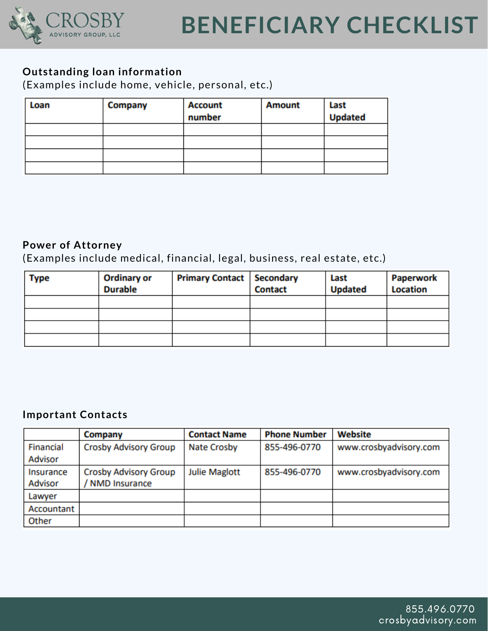

## **Outstanding loan information**

(Examples include home, vehicle, personal, etc.)

| Loan | Company | <b>Account</b><br>number | <b>Amount</b> | Last<br><b>Updated</b> |
|------|---------|--------------------------|---------------|------------------------|
|      |         |                          |               |                        |
|      |         |                          |               |                        |
|      |         |                          |               |                        |
|      |         |                          |               |                        |

#### **Power of Attorney**

(Examples include medical, financial, legal, business, real estate, etc.)

| Type | <b>Ordinary or</b><br><b>Durable</b> | <b>Primary Contact   Secondary</b> | <b>Contact</b> | Last<br><b>Updated</b> | <b>Paperwork</b><br><b>Location</b> |
|------|--------------------------------------|------------------------------------|----------------|------------------------|-------------------------------------|
|      |                                      |                                    |                |                        |                                     |
|      |                                      |                                    |                |                        |                                     |
|      |                                      |                                    |                |                        |                                     |
|      |                                      |                                    |                |                        |                                     |

#### **Important Contacts**

|                | Company                      | <b>Contact Name</b>  | <b>Phone Number</b> | Website                |
|----------------|------------------------------|----------------------|---------------------|------------------------|
| Financial      | <b>Crosby Advisory Group</b> | <b>Nate Crosby</b>   | 855-496-0770        | www.crosbyadvisory.com |
| <b>Advisor</b> |                              |                      |                     |                        |
| Insurance      | <b>Crosby Advisory Group</b> | <b>Julie Maglott</b> | 855-496-0770        | www.crosbyadvisory.com |
| <b>Advisor</b> | <b>NMD Insurance</b>         |                      |                     |                        |
| Lawyer         |                              |                      |                     |                        |
| Accountant     |                              |                      |                     |                        |
| Other          |                              |                      |                     |                        |